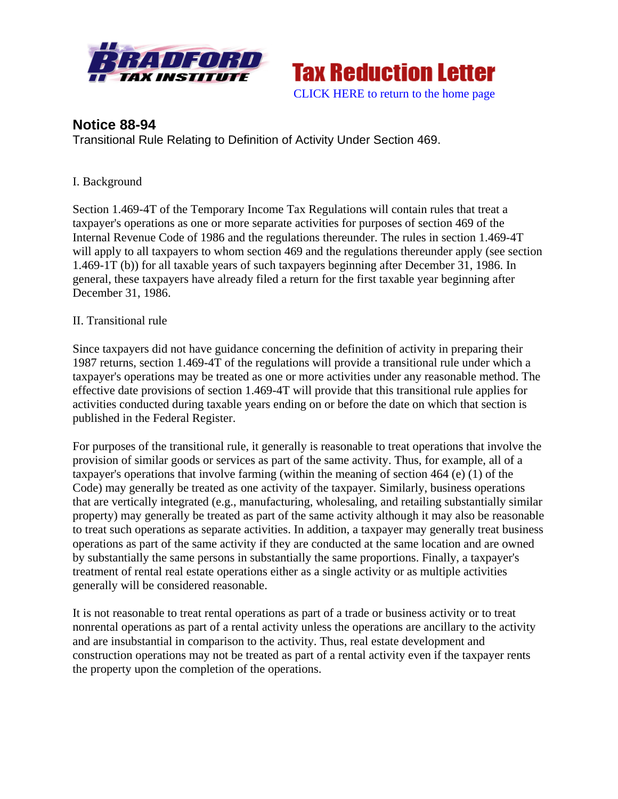



# **Notice 88-94**

Transitional Rule Relating to Definition of Activity Under Section 469.

## I. Background

Section 1.469-4T of the Temporary Income Tax Regulations will contain rules that treat a taxpayer's operations as one or more separate activities for purposes of section 469 of the Internal Revenue Code of 1986 and the regulations thereunder. The rules in section 1.469-4T will apply to all taxpayers to whom section 469 and the regulations thereunder apply (see section 1.469-1T (b)) for all taxable years of such taxpayers beginning after December 31, 1986. In general, these taxpayers have already filed a return for the first taxable year beginning after December 31, 1986.

### II. Transitional rule

Since taxpayers did not have guidance concerning the definition of activity in preparing their 1987 returns, section 1.469-4T of the regulations will provide a transitional rule under which a taxpayer's operations may be treated as one or more activities under any reasonable method. The effective date provisions of section 1.469-4T will provide that this transitional rule applies for activities conducted during taxable years ending on or before the date on which that section is published in the Federal Register.

For purposes of the transitional rule, it generally is reasonable to treat operations that involve the provision of similar goods or services as part of the same activity. Thus, for example, all of a taxpayer's operations that involve farming (within the meaning of section 464 (e) (1) of the Code) may generally be treated as one activity of the taxpayer. Similarly, business operations that are vertically integrated (e.g., manufacturing, wholesaling, and retailing substantially similar property) may generally be treated as part of the same activity although it may also be reasonable to treat such operations as separate activities. In addition, a taxpayer may generally treat business operations as part of the same activity if they are conducted at the same location and are owned by substantially the same persons in substantially the same proportions. Finally, a taxpayer's treatment of rental real estate operations either as a single activity or as multiple activities generally will be considered reasonable.

It is not reasonable to treat rental operations as part of a trade or business activity or to treat nonrental operations as part of a rental activity unless the operations are ancillary to the activity and are insubstantial in comparison to the activity. Thus, real estate development and construction operations may not be treated as part of a rental activity even if the taxpayer rents the property upon the completion of the operations.